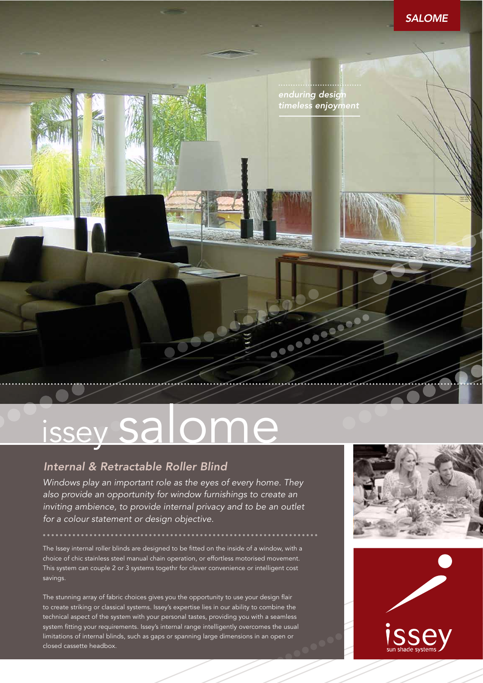



# issey salome

## *Internal & Retractable Roller Blind*

*Windows play an important role as the eyes of every home. They also provide an opportunity for window furnishings to create an inviting ambience, to provide internal privacy and to be an outlet for a colour statement or design objective.*

The Issey internal roller blinds are designed to be fitted on the inside of a window, with a choice of chic stainless steel manual chain operation, or effortless motorised movement. This system can couple 2 or 3 systems togethr for clever convenience or intelligent cost savings.

The stunning array of fabric choices gives you the opportunity to use your design flair to create striking or classical systems. Issey's expertise lies in our ability to combine the technical aspect of the system with your personal tastes, providing you with a seamless system fitting your requirements. Issey's internal range intelligently overcomes the usual limitations of internal blinds, such as gaps or spanning large dimensions in an open or closed cassette headbox.